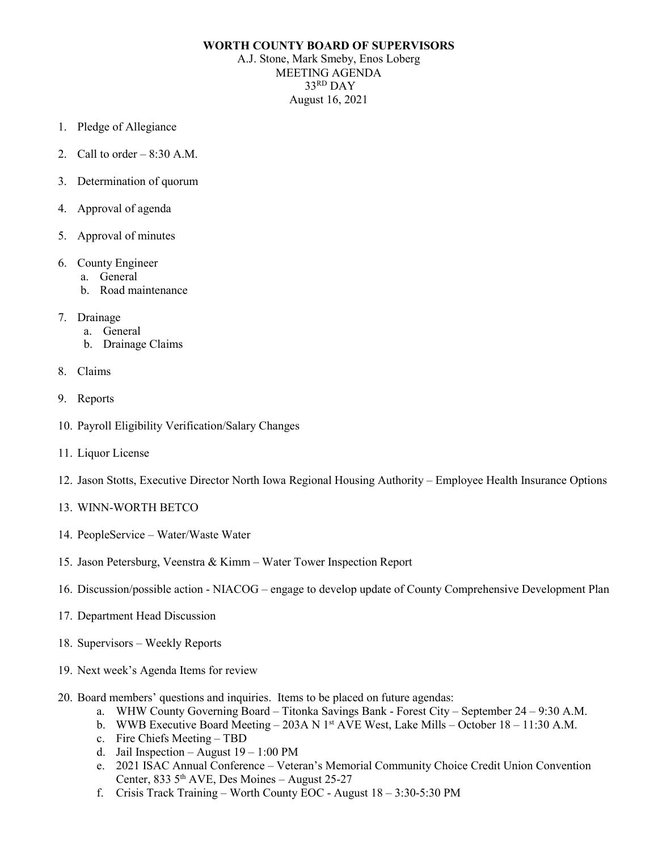## **WORTH COUNTY BOARD OF SUPERVISORS**

A.J. Stone, Mark Smeby, Enos Loberg MEETING AGENDA 33RD DAY August 16, 2021

- 1. Pledge of Allegiance
- 2. Call to order  $-8:30$  A.M.
- 3. Determination of quorum
- 4. Approval of agenda
- 5. Approval of minutes
- 6. County Engineer
	- a. General
	- b. Road maintenance
- 7. Drainage
	- a. General
	- b. Drainage Claims
- 8. Claims
- 9. Reports
- 10. Payroll Eligibility Verification/Salary Changes
- 11. Liquor License
- 12. Jason Stotts, Executive Director North Iowa Regional Housing Authority Employee Health Insurance Options
- 13. WINN-WORTH BETCO
- 14. PeopleService Water/Waste Water
- 15. Jason Petersburg, Veenstra & Kimm Water Tower Inspection Report
- 16. Discussion/possible action NIACOG engage to develop update of County Comprehensive Development Plan
- 17. Department Head Discussion
- 18. Supervisors Weekly Reports
- 19. Next week's Agenda Items for review
- 20. Board members' questions and inquiries. Items to be placed on future agendas:
	- a. WHW County Governing Board Titonka Savings Bank Forest City September 24 9:30 A.M.
	- b. WWB Executive Board Meeting 203A N 1<sup>st</sup> AVE West, Lake Mills October 18 11:30 A.M.
	- c. Fire Chiefs Meeting TBD
	- d. Jail Inspection August  $19 1:00 \text{ PM}$
	- e. 2021 ISAC Annual Conference Veteran's Memorial Community Choice Credit Union Convention Center, 833  $5<sup>th</sup>$  AVE, Des Moines – August 25-27
	- f. Crisis Track Training Worth County EOC August 18 3:30-5:30 PM